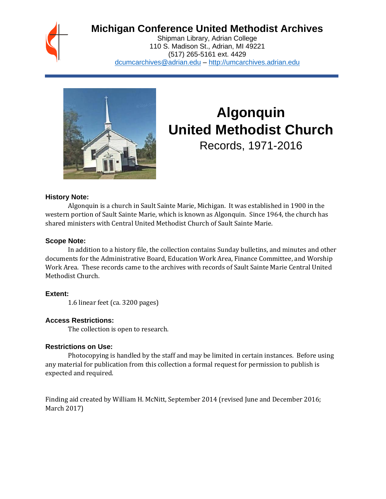

## **Michigan Conference United Methodist Archives**

Shipman Library, Adrian College 110 S. Madison St., Adrian, MI 49221 (517) 265-5161 ext. 4429 [dcumcarchives@adrian.edu](mailto:dcumcarchives@adrian.edu) – [http://umcarchives.adrian.edu](http://umcarchives.adrian.edu/)



# **Algonquin United Methodist Church**

Records, 1971-2016

#### **History Note:**

Algonquin is a church in Sault Sainte Marie, Michigan. It was established in 1900 in the western portion of Sault Sainte Marie, which is known as Algonquin. Since 1964, the church has shared ministers with Central United Methodist Church of Sault Sainte Marie.

#### **Scope Note:**

In addition to a history file, the collection contains Sunday bulletins, and minutes and other documents for the Administrative Board, Education Work Area, Finance Committee, and Worship Work Area. These records came to the archives with records of Sault Sainte Marie Central United Methodist Church.

#### **Extent:**

1.6 linear feet (ca. 3200 pages)

#### **Access Restrictions:**

The collection is open to research.

#### **Restrictions on Use:**

Photocopying is handled by the staff and may be limited in certain instances. Before using any material for publication from this collection a formal request for permission to publish is expected and required.

Finding aid created by William H. McNitt, September 2014 (revised June and December 2016; March 2017)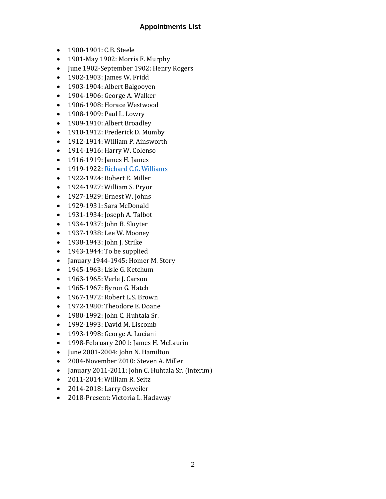#### **Appointments List**

- 1900-1901: C.B. Steele
- 1901-May 1902: Morris F. Murphy
- June 1902-September 1902: Henry Rogers
- 1902-1903: James W. Fridd
- 1903-1904: Albert Balgooyen
- 1904-1906: George A. Walker
- 1906-1908: Horace Westwood
- 1908-1909: Paul L. Lowry
- 1909-1910: Albert Broadley
- 1910-1912: Frederick D. Mumby
- 1912-1914: William P. Ainsworth
- 1914-1916: Harry W. Colenso
- 1916-1919: James H. James
- 1919-1922[: Richard C.G. Williams](http://umcarchives.adrian.edu/clergy/williamsrcg.php)
- 1922-1924: Robert E. Miller
- 1924-1927: William S. Pryor
- 1927-1929: Ernest W. Johns
- 1929-1931: Sara McDonald
- 1931-1934: Joseph A. Talbot
- 1934-1937: John B. Sluyter
- 1937-1938: Lee W. Mooney
- 1938-1943: John J. Strike
- 1943-1944: To be supplied
- January 1944-1945: Homer M. Story
- 1945-1963: Lisle G. Ketchum
- 1963-1965: Verle J. Carson
- 1965-1967: Byron G. Hatch
- 1967-1972: Robert L.S. Brown
- 1972-1980: Theodore E. Doane
- 1980-1992: John C. Huhtala Sr.
- 1992-1993: David M. Liscomb
- 1993-1998: George A. Luciani
- 1998-February 2001: James H. McLaurin
- June 2001-2004: John N. Hamilton
- 2004-November 2010: Steven A. Miller
- January 2011-2011: John C. Huhtala Sr. (interim)
- 2011-2014: William R. Seitz
- 2014-2018: Larry Osweiler
- 2018-Present: Victoria L. Hadaway